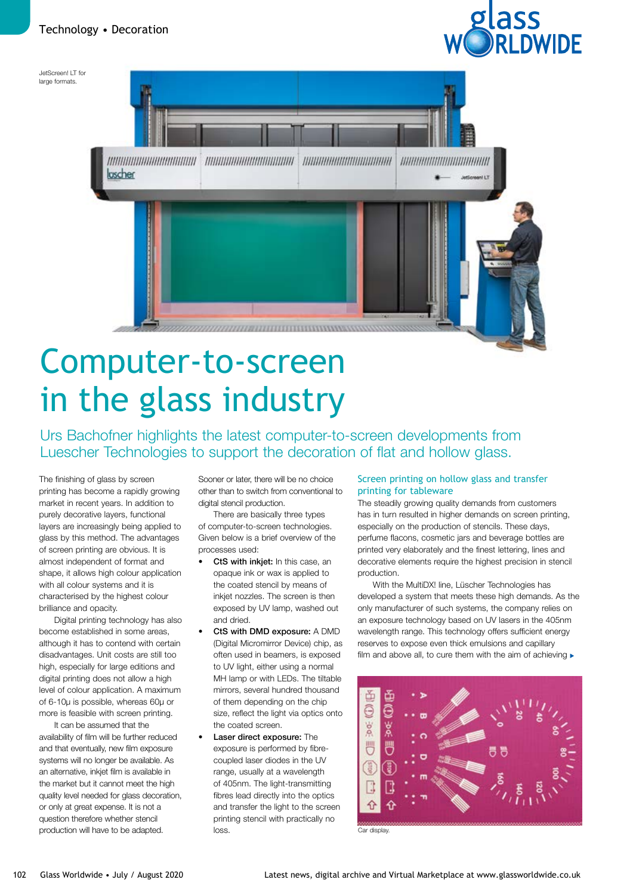



# Computer-to-screen in the glass industry

Urs Bachofner highlights the latest computer-to-screen developments from Luescher Technologies to support the decoration of flat and hollow glass.

The finishing of glass by screen printing has become a rapidly growing market in recent years. In addition to purely decorative layers, functional layers are increasingly being applied to glass by this method. The advantages of screen printing are obvious. It is almost independent of format and shape, it allows high colour application with all colour systems and it is characterised by the highest colour brilliance and opacity.

Digital printing technology has also become established in some areas, although it has to contend with certain disadvantages. Unit costs are still too high, especially for large editions and digital printing does not allow a high level of colour application. A maximum of 6-10µ is possible, whereas 60µ or more is feasible with screen printing.

It can be assumed that the availability of film will be further reduced and that eventually, new film exposure systems will no longer be available. As an alternative, inkjet film is available in the market but it cannot meet the high quality level needed for glass decoration, or only at great expense. It is not a question therefore whether stencil production will have to be adapted.

Sooner or later, there will be no choice other than to switch from conventional to digital stencil production.

There are basically three types of computer-to-screen technologies. Given below is a brief overview of the processes used:

- CtS with inkjet: In this case, an opaque ink or wax is applied to the coated stencil by means of inkjet nozzles. The screen is then exposed by UV lamp, washed out and dried.
- CtS with DMD exposure: A DMD (Digital Micromirror Device) chip, as often used in beamers, is exposed to UV light, either using a normal MH lamp or with LEDs. The tiltable mirrors, several hundred thousand of them depending on the chip size, reflect the light via optics onto the coated screen.
- Laser direct exposure: The exposure is performed by fibrecoupled laser diodes in the UV range, usually at a wavelength of 405nm. The light-transmitting fibres lead directly into the optics and transfer the light to the screen printing stencil with practically no loss. Car display

### Screen printing on hollow glass and transfer printing for tableware

The steadily growing quality demands from customers has in turn resulted in higher demands on screen printing, especially on the production of stencils. These days, perfume flacons, cosmetic jars and beverage bottles are printed very elaborately and the finest lettering, lines and decorative elements require the highest precision in stencil production.

With the MultiDX! line, Lüscher Technologies has developed a system that meets these high demands. As the only manufacturer of such systems, the company relies on an exposure technology based on UV lasers in the 405nm wavelength range. This technology offers sufficient energy reserves to expose even thick emulsions and capillary film and above all, to cure them with the aim of achieving  $\blacktriangleright$